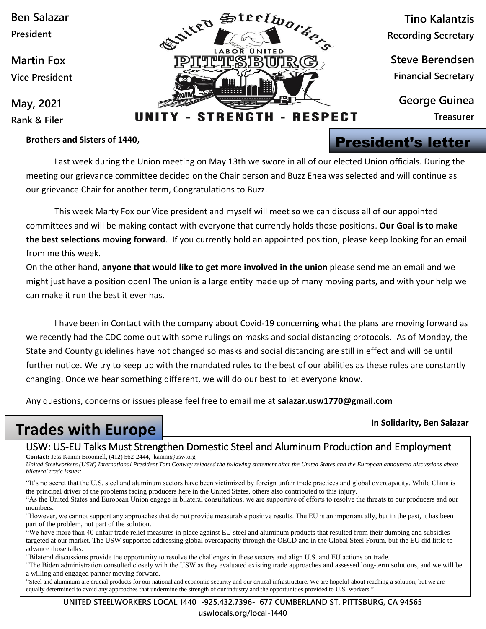**Ben Salazar President**

**Martin Fox Vice President**

**May, 2021 Rank & Filer**

#### **Brothers and Sisters of 1440,**



**Tino Kalantzis Recording Secretary**

**Steve Berendsen Financial Secretary**

**George Guinea**

**Treasurer**

#### - STRENGTH - RESPECT UNIT

## President's letter

Last week during the Union meeting on May 13th we swore in all of our elected Union officials. During the meeting our grievance committee decided on the Chair person and Buzz Enea was selected and will continue as our grievance Chair for another term, Congratulations to Buzz.

This week Marty Fox our Vice president and myself will meet so we can discuss all of our appointed committees and will be making contact with everyone that currently holds those positions. **Our Goal is to make the best selections moving forward**. If you currently hold an appointed position, please keep looking for an email from me this week.

On the other hand, **anyone that would like to get more involved in the union** please send me an email and we might just have a position open! The union is a large entity made up of many moving parts, and with your help we can make it run the best it ever has.

I have been in Contact with the company about Covid-19 concerning what the plans are moving forward as we recently had the CDC come out with some rulings on masks and social distancing protocols. As of Monday, the State and County guidelines have not changed so masks and social distancing are still in effect and will be until further notice. We try to keep up with the mandated rules to the best of our abilities as these rules are constantly changing. Once we hear something different, we will do our best to let everyone know.

Any questions, concerns or issues please feel free to email me at **salazar.usw1770@gmail.com**

#### **In Solidarity, Ben Salazar**

## **Trades with Europe**

### USW: US-EU Talks Must Strengthen Domestic Steel and Aluminum Production and Employment

**Contact:** Jess Kamm Broomell, (412) 562-2444[, jkamm@usw.org](mailto:jkamm@usw.org)

United Steelworkers (USW) International President Tom Conway released the following statement after the United States and the European announced discussions about *bilateral trade issues:*

"It's no secret that the U.S. steel and aluminum sectors have been victimized by foreign unfair trade practices and global overcapacity. While China is the principal driver of the problems facing producers here in the United States, others also contributed to this injury.

"As the United States and European Union engage in bilateral consultations, we are supportive of efforts to resolve the threats to our producers and our members.

"However, we cannot support any approaches that do not provide measurable positive results. The EU is an important ally, but in the past, it has been part of the problem, not part of the solution.

"We have more than 40 unfair trade relief measures in place against EU steel and aluminum products that resulted from their dumping and subsidies targeted at our market. The USW supported addressing global overcapacity through the OECD and in the Global Steel Forum, but the EU did little to advance those talks.

"Bilateral discussions provide the opportunity to resolve the challenges in these sectors and align U.S. and EU actions on trade.

"The Biden administration consulted closely with the USW as they evaluated existing trade approaches and assessed long-term solutions, and we will be a willing and engaged partner moving forward.

"Steel and aluminum are crucial products for our national and economic security and our critical infrastructure. We are hopeful about reaching a solution, but we are equally determined to avoid any approaches that undermine the strength of our industry and the opportunities provided to U.S. workers."

**UNITED STEELWORKERS LOCAL 1440 -925.432.7396- 677 CUMBERLAND ST. PITTSBURG, CA 94565 uswlocals.org/local-1440**